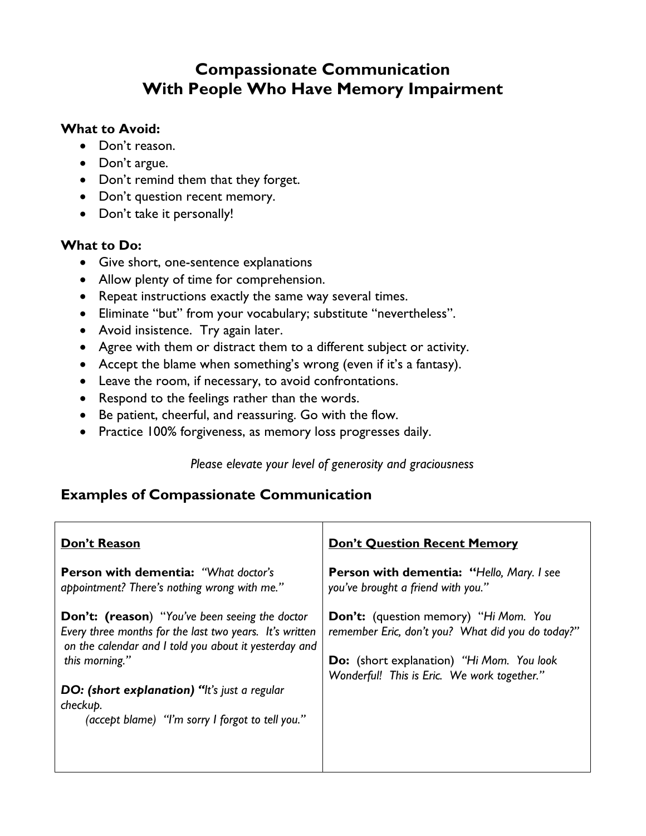# **Compassionate Communication With People Who Have Memory Impairment**

### **What to Avoid:**

- Don't reason.
- Don't argue.
- Don't remind them that they forget.
- Don't question recent memory.
- Don't take it personally!

### **What to Do:**

- Give short, one-sentence explanations
- Allow plenty of time for comprehension.
- Repeat instructions exactly the same way several times.
- Eliminate "but" from your vocabulary; substitute "nevertheless".
- Avoid insistence. Try again later.
- Agree with them or distract them to a different subject or activity.
- Accept the blame when something's wrong (even if it's a fantasy).
- Leave the room, if necessary, to avoid confrontations.
- Respond to the feelings rather than the words.
- Be patient, cheerful, and reassuring. Go with the flow.
- Practice 100% forgiveness, as memory loss progresses daily.

*Please elevate your level of generosity and graciousness*

## **Examples of Compassionate Communication**

| Don't Reason                                                                                                 | <b>Don't Question Recent Memory</b>               |
|--------------------------------------------------------------------------------------------------------------|---------------------------------------------------|
| <b>Person with dementia: "What doctor's</b>                                                                  | Person with dementia: "Hello, Mary. I see         |
| appointment? There's nothing wrong with me."                                                                 | you've brought a friend with you."                |
| <b>Don't:</b> (reason) "You've been seeing the doctor                                                        | Don't: (question memory) "Hi Mom. You             |
| Every three months for the last two years. It's written                                                      | remember Eric, don't you? What did you do today?" |
| on the calendar and I told you about it yesterday and                                                        | <b>Do:</b> (short explanation) "Hi Mom. You look  |
| this morning."                                                                                               | Wonderful! This is Eric. We work together."       |
| DO: (short explanation) "It's just a regular<br>checkup.<br>(accept blame) "I'm sorry I forgot to tell you." |                                                   |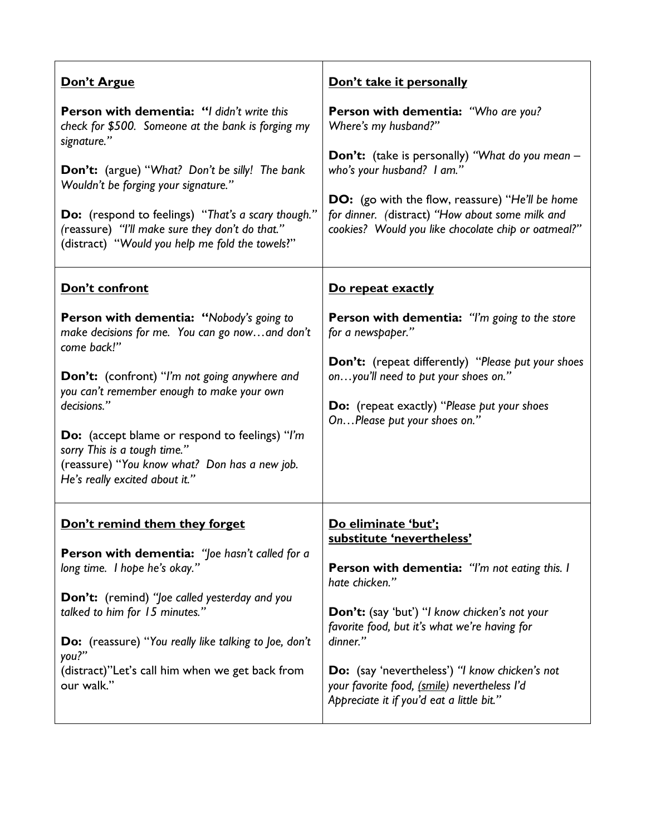| Don't Argue                                                                                                                                                                                                                                                                                                                                                                                                | Don't take it personally                                                                                                                                                                                                                                                                                                                                                         |
|------------------------------------------------------------------------------------------------------------------------------------------------------------------------------------------------------------------------------------------------------------------------------------------------------------------------------------------------------------------------------------------------------------|----------------------------------------------------------------------------------------------------------------------------------------------------------------------------------------------------------------------------------------------------------------------------------------------------------------------------------------------------------------------------------|
| Person with dementia: "I didn't write this<br>check for \$500. Someone at the bank is forging my<br>signature."                                                                                                                                                                                                                                                                                            | Person with dementia: "Who are you?<br>Where's my husband?"                                                                                                                                                                                                                                                                                                                      |
| <b>Don't:</b> (argue) "What? Don't be silly! The bank<br>Wouldn't be forging your signature."<br><b>Do:</b> (respond to feelings) "That's a scary though."<br>(reassure) "I'll make sure they don't do that."<br>(distract) "Would you help me fold the towels?"                                                                                                                                           | <b>Don't:</b> (take is personally) "What do you mean -<br>who's your husband? I am."<br><b>DO:</b> (go with the flow, reassure) "He'll be home<br>for dinner. (distract) "How about some milk and<br>cookies? Would you like chocolate chip or oatmeal?"                                                                                                                         |
| Don't confront                                                                                                                                                                                                                                                                                                                                                                                             | Do repeat exactly                                                                                                                                                                                                                                                                                                                                                                |
| <b>Person with dementia: "Nobody's going to</b><br>make decisions for me. You can go nowand don't<br>come back!"<br>Don't: (confront) "I'm not going anywhere and<br>you can't remember enough to make your own<br>decisions."<br><b>Do:</b> (accept blame or respond to feelings) "I'm<br>sorry This is a tough time."<br>(reassure) "You know what? Don has a new job.<br>He's really excited about it." | <b>Person with dementia:</b> "I'm going to the store<br>for a newspaper."<br>Don't: (repeat differently) "Please put your shoes<br>onyou'll need to put your shoes on."<br><b>Do:</b> (repeat exactly) "Please put your shoes<br>OnPlease put your shoes on."                                                                                                                    |
| Don't remind them they forget<br>Person with dementia: "Joe hasn't called for a<br>long time. I hope he's okay."<br>Don't: (remind) "Joe called yesterday and you<br>talked to him for 15 minutes."<br><b>Do:</b> (reassure) "You really like talking to Joe, don't<br>you?"<br>(distract)"Let's call him when we get back from<br>our walk."                                                              | Do eliminate 'but';<br>substitute 'nevertheless'<br>Person with dementia: "I'm not eating this. I<br>hate chicken."<br>Don't: (say 'but') "I know chicken's not your<br>favorite food, but it's what we're having for<br>dinner."<br>Do: (say 'nevertheless') "I know chicken's not<br>your favorite food, (smile) nevertheless l'd<br>Appreciate it if you'd eat a little bit." |